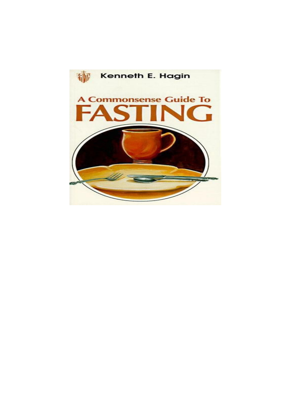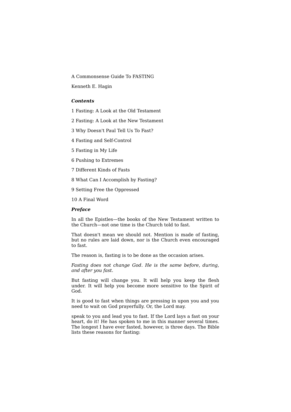A Commonsense Guide To FASTING

Kenneth E. Hagin

# *Contents*

1 Fasting: A Look at the Old Testament

2 Fasting: A Look at the New Testament

3 Why Doesn't Paul Tell Us To Fast?

4 Fasting and Self-Control

5 Fasting in My Life

6 Pushing to Extremes

7 Different Kinds of Fasts

8 What Can I Accomplish by Fasting?

9 Setting Free the Oppressed

10 A Final Word

## *Preface*

In all the Epistles—the books of the New Testament written to the Church—not one time is the Church told to fast.

That doesn't mean we should not. Mention is made of fasting, but no rules are laid down, nor is the Church even encouraged to fast.

The reason is, fasting is to be done as the occasion arises.

*Fasting does not change God. He is the same before, during, and after you fast.*

But fasting will change you. It will help you keep the flesh under. It will help you become more sensitive to the Spirit of God.

It is good to fast when things are pressing in upon you and you need to wait on God prayerfully. Or, the Lord may.

speak to you and lead you to fast. If the Lord lays a fast on your heart, do it! He has spoken to me in this manner several times. The longest I have ever fasted, however, is three days. The Bible lists these reasons for fasting: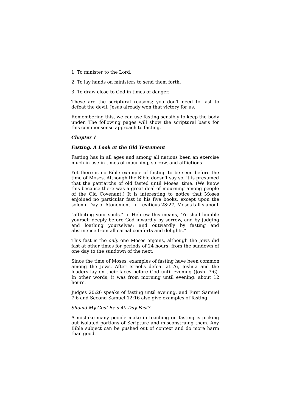- 1. To minister to the Lord.
- 2. To lay hands on ministers to send them forth.
- 3. To draw close to God in times of danger.

These are the scriptural reasons; you don't need to fast to defeat the devil. Jesus already won that victory for us.

Remembering this, we can use fasting sensibly to keep the body under. The following pages will show the scriptural basis for this commonsense approach to fasting.

## *Chapter 1*

# *Fasting: A Look at the Old Testament*

Fasting has in all ages and among all nations been an exercise much in use in times of mourning, sorrow, and afflictions.

Yet there is no Bible example of fasting to be seen before the time of Moses. Although the Bible doesn't say so, it is presumed that the patriarchs of old fasted until Moses' time. (We know this because there was a great deal of mourning among people of the Old Covenant.) It is interesting to notice that Moses enjoined no particular fast in his five books, except upon the solemn Day of Atonement. In Leviticus 23:27, Moses talks about

"afflicting your souls." In Hebrew this means, "Ye shall humble yourself deeply before God inwardly by sorrow, and by judging and loathing yourselves; and outwardly by fasting and abstinence from all carnal comforts and delights."

This fast is the *only* one Moses enjoins, although the Jews did fast at other times for periods of 24 hours: from the sundown of one day to the sundown of the next.

Since the time of Moses, examples of fasting have been common among the Jews. After Israel's defeat at Ai, Joshua and the leaders lay on their faces before God until evening (Josh. 7:6). In other words, it was from morning until evening; about 12 hours.

Judges 20:26 speaks of fasting until evening, and First Samuel 7:6 and Second Samuel 12:16 also give examples of fasting.

# *Should My Goal Be a 40-Day Fast?*

A mistake many people make in teaching on fasting is picking out isolated portions of Scripture and misconstruing them. Any Bible subject can be pushed out of context and do more harm than good.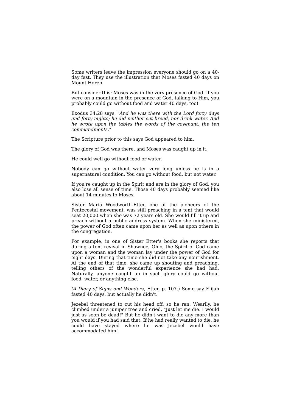Some writers leave the impression everyone should go on a 40 day fast. They use the illustration that Moses fasted 40 days on Mount Horeb.

But consider this: Moses was in the very presence of God. If you were on a mountain in the presence of God, talking to Him, you probably could go without food and water 40 days, too!

Exodus 34:28 says, *"And he was there with the Lord forty days and forty nights; he did neither eat bread, nor drink water. And he wrote upon the tables the words of the covenant, the ten commandments."*

The Scripture prior to this says God appeared to him.

The glory of God was there, and Moses was caught up in it.

He could well go without food or water.

Nobody can go without water very long unless he is in a supernatural condition. You can go without food, but not water.

If you're caught up in the Spirit and are in the glory of God, you also lose all sense of time. Those 40 days probably seemed like about 14 minutes to Moses.

Sister Maria Woodworth-Etter, one of the pioneers of the Pentecostal movement, was still preaching in a tent that would seat 20,000 when she was 72 years old. She would fill it up and preach without a public address system. When she ministered, the power of God often came upon her as well as upon others in the congregation.

For example, in one of Sister Etter's books she reports that during a tent revival in Shawnee, Ohio, the Spirit of God came upon a woman and the woman lay under the power of God for eight days. During that time she did not take any nourishment. At the end of that time, she came up shouting and preaching, telling others of the wonderful experience she had had. Naturally, anyone caught up in such glory could go without food, water, or anything else.

*(A Diary of Signs and Wonders,* Etter, p. 107.) Some say Elijah fasted 40 days, but actually he didn't.

Jezebel threatened to cut his head off, so he ran. Wearily, he climbed under a juniper tree and cried, "Just let me die. I would just as soon be dead!" But he didn't want to die any more than you would if you had said that. If he had really wanted to die, he could have stayed where he was—Jezebel would have accommodated him!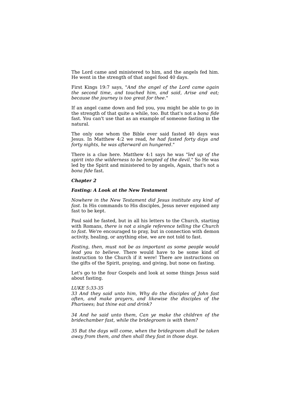The Lord came and ministered to him, and the angels fed him. He went in the strength of that angel food 40 days.

First Kings 19:7 says, *"And the angel of the Lord came again the second time, and touched him, and said, Arise and eat; because the journey is too great for thee."*

If an angel came down and fed you, you might be able to go in the strength of that quite a while, too. But that's not a *bona fide* fast. You can't use that as an example of someone fasting in the natural.

The only one whom the Bible ever said fasted 40 days was Jesus. In Matthew 4:2 we read, *he had fasted forty days and forty nights, he was afterward an hungered."*

There is a clue here. Matthew 4:1 says he was *"led up of the spirit into the wilderness to be tempted of the devil."* So He was led by the Spirit and ministered to by angels, Again, that's not a *bona fide* fast.

# *Chapter 2*

# *Fasting: A Look at the New Testament*

*Nowhere in the New Testament did Jesus institute any kind of fast.* In His commands to His disciples, Jesus never enjoined any fast to be kept.

Paul said he fasted, but in all his letters to the Church, starting with Romans, *there is not a single reference telling the Church to fast.* We're encouraged to pray, but in connection with demon activity, healing, or anything else, we are not told to fast.

*Fasting, then, must not be as important as some people would lead you to believe.* There would have to be some kind of instruction to the Church if it were! There are instructions on the gifts of the Spirit, praying, and giving, but none on fasting.

Let's go to the four Gospels and look at some things Jesus said about fasting.

## *LUKE 5:33-35*

*33 And they said unto him, Why do the disciples of John fast often, and make prayers, and likewise the disciples of the Pharisees; but thine eat and drink?*

*34 And he said unto them, Can ye make the children of the bridechamber fast, while the bridegroom is with them?*

*35 But the days will come, when the bridegroom shall be taken away from them, and then shall they fast in those days.*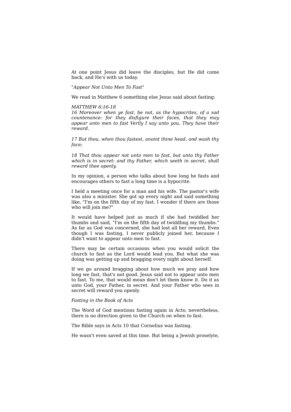At one point Jesus did leave the disciples, but He did come back, and He's with us today.

*"Appear Not Unto Men To Fast"*

We read in Matthew 6 something else Jesus said about fasting:

#### *MATTHEW 6:16-18*

*16 Moreover when ye fast, be not, as the hypocrites, of a sad countenance: for they disfigure their faces, that they may appear unto men to fast Verily I say unto you, They have their reward.*

*17 But thou, when thou fastest, anoint thine head, and wash thy face;*

*18 That thou appear not unto men to fast, but unto thy Father which is in secret: and thy Father, which seeth in secret, shall reward thee openly.*

In my opinion, a person who talks about how long he fasts and encourages others to fast a long time is a hypocrite.

I held a meeting once for a man and his wife. The pastor's wife was also a minister. She got up every night and said something like, "I'm on the fifth day of my fast. I wonder if there are those who will join me?"

It would have helped just as much if she had twiddled her thumbs and said, "I'm on the fifth day of twiddling my thumbs." As far as God was concerned, she had lost all her reward, Even though I was fasting, I never publicly joined her, because I didn't want to appear unto men to fast.

There may be certain occasions when you would solicit the church to fast as the Lord would lead you. But what she was doing was getting up and bragging every night about herself.

If we go around bragging about how much we pray and how long we fast, that's not good. Jesus said not to appear unto men to fast. To me, that would mean don't let them know it. Do it as unto God, your Father, in secret. And your Father who sees in secret will reward you openly.

# *Fasting in the Book of Acts*

The Word of God mentions fasting again in Acts; nevertheless, there is no direction given to the Church on when to fast.

The Bible says in Acts 10 that Cornelius was fasting.

He wasn't even saved at this time. But being a Jewish proselyte,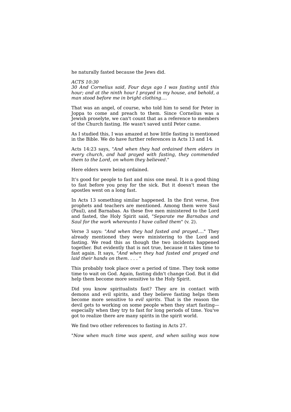he naturally fasted because the Jews did.

## *ACTS 10:30*

*30 And Cornelius said, Four days ago I was fasting until this hour; and at the ninth hour I prayed in my house, and behold, a man stood before me in bright clothing....*

That was an angel, of course, who told him to send for Peter in Joppa to come and preach to them. Since Cornelius was a Jewish proselyte, we can't count that as a reference to members of the Church fasting. He wasn't saved until Peter came.

As I studied this, I was amazed at how little fasting is mentioned in the Bible. We do have further references in Acts 13 and 14.

Acts 14:23 says, *"And when they had ordained them elders in every church, and had prayed with fasting, they commended them to the Lord, on whom they believed."*

Here elders were being ordained.

It's good for people to fast and miss one meal. It is a good thing to fast before you pray for the sick. But it doesn't mean the apostles went on a long fast.

In Acts 13 something similar happened. In the first verse, five prophets and teachers are mentioned. Among them were Saul (Paul), and Barnabas. As these five men ministered to the Lord and fasted, the Holy Spirit said, *"Separate me Barnabas and Saul for the work whereunto I have called them"* (v. 2).

Verse 3 says: *"And when they had fasted and prayed...."* They already mentioned they were ministering to the Lord and fasting. We read this as though the two incidents happened together. But evidently that is not true, because it takes time to fast again. It says, *"And when they had fasted and prayed and laid their hands on them. . . .* "

This probably took place over a period of time. They took some time to wait on God. Again, fasting didn't change God. But it did help them become more sensitive to the Holy Spirit.

Did you know spiritualists fast? They are in contact with demons and evil spirits, and they believe fasting helps them become more sensitive to *evil spirits.* That is the reason the devil gets to working on some people when they start fasting especially when they try to fast for long periods of time. You've got to realize there are many spirits in the spirit world.

We find two other references to fasting in Acts 27.

*"Now when much time was spent, and when sailing was now*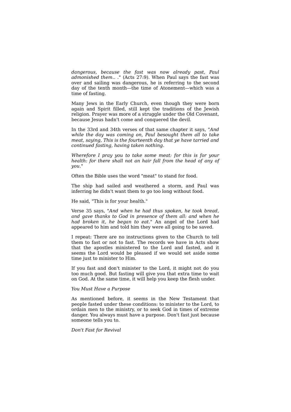*dangerous, because the fast was now already past, Paul admonished them..* ." (Acts 27:9). When Paul says the fast was over and sailing was dangerous, he is referring to the second day of the tenth month—the time of Atonement—which was a time of fasting.

Many Jews in the Early Church, even though they were born again and Spirit filled, still kept the traditions of the Jewish religion. Prayer was more of a struggle under the Old Covenant, because Jesus hadn't come and conquered the devil.

In the 33rd and 34th verses of that same chapter it says, *"And while the day was coming on, Paul besought them all to take meat, saying, This is the fourteenth day that ye have tarried and continued fasting, having taken nothing.*

*Wherefore I pray you to take some meat: for this is for your health: for there shall not an hair fall from the head of any of you."*

Often the Bible uses the word "meat" to stand for food.

The ship had sailed and weathered a storm, and Paul was inferring he didn't want them to go too long without food.

He said, "This is for your health."

Verse 35 says, *"And when he had thus spoken, he took bread, and gave thanks to God in presence of them all: and when he had broken it, he began to eat."* An angel of the Lord had appeared to him and told him they were all going to be saved.

I repeat: There are no instructions given to the Church to tell them to fast or not to fast. The records we have in Acts show that the apostles ministered to the Lord and fasted, and it seems the Lord would be pleased if we would set aside some time just to minister to Him.

If you fast and don't minister to the Lord, it might not do you too much good. But fasting will give you that extra time to wait on God. At the same time, it will help you keep the flesh under.

# *You Must Have a Purpose*

As mentioned before, it seems in the New Testament that people fasted under these conditions: to minister to the Lord, to ordain men to the ministry, or to seek God in times of extreme danger. You always must have a purpose. Don't fast just because someone tells you to.

# *Don't Fast for Revival*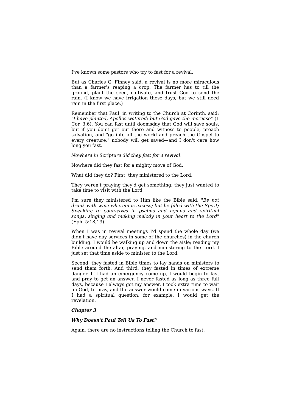I've known some pastors who try to fast for a revival.

But as Charles G. Finney said, a revival is no more miraculous than a farmer's reaping a crop. The farmer has to till the ground, plant the seed, cultivate, and trust God to send the rain. (I know we have irrigation these days, but we still need rain in the first place.)

Remember that Paul, in writing to the Church at Corinth, said: *"I have planted, Apollos watered; but God gave the increase"* (1 Cor. 3:6). You can fast until doomsday that God will save souls, but if you don't get out there and witness to people, preach salvation, and "go into all the world and preach the Gospel to every creature," nobody will get saved—and I don't care how long you fast.

*Nowhere in Scripture did they fast for a revival.*

Nowhere did they fast for a mighty move of God.

What did they do? First, they ministered to the Lord.

They weren't praying they'd get something; they just wanted to take time to visit with the Lord.

I'm sure they ministered to Him like the Bible said: *"Be not drunk with wine wherein is excess; but be filled with the Spirit; Speaking to yourselves in psalms and hymns and spiritual songs, singing and making melody in your heart to the Lord"* (Eph. 5:18,19).

When I was in revival meetings I'd spend the whole day (we didn't have day services in some of the churches) in the church building. I would be walking up and down the aisle; reading my Bible around the altar, praying, and ministering to the Lord. I just set that time aside to minister to the Lord.

Second, they fasted in Bible times to lay hands on ministers to send them forth. And third, they fasted in times of extreme danger. If I had an emergency come up, I would begin to fast and pray to get an answer. I never fasted as long as three full days, because I always got my answer. I took extra time to wait on God, to pray, and the answer would come in various ways. If I had a spiritual question, for example, I would get the revelation.

## *Chapter 3*

# *Why Doesn't Paul Tell Us To Fast?*

Again, there are no instructions telling the Church to fast.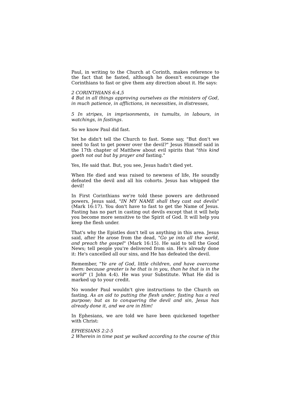Paul, in writing to the Church at Corinth, makes reference to the fact that he fasted, although he doesn't encourage the Corinthians to fast or give them any direction about it. He says:

#### *2 CORINTHIANS 6:4,5*

*4 But in all things approving ourselves as the ministers of God, in much patience, in afflictions, in necessities, in distresses,*

*5 In stripes, in imprisonments, in tumults, in labours, in watchings, in fastings.*

So we know Paul did fast.

Yet he didn't tell the Church to fast. Some say, "But don't we need to fast to get power over the devil?" Jesus Himself said in the 17th chapter of Matthew about evil spirits that *"this kind goeth not out but by prayer and* fasting."

Yes, He said that. But, you see, Jesus hadn't died yet.

When He died and was raised to newness of life, He soundly defeated the devil and all his cohorts. Jesus has whipped the devil!

In First Corinthians we're told these powers are dethroned powers, Jesus said, *"IN MY NAME shall they cast out devils"* (Mark 16:17). You don't have to fast to get the Name of Jesus. Fasting has no part in casting out devils except that it will help you become more sensitive to the Spirit of God. It will help you keep the flesh under.

That's why the Epistles don't tell us anything in this area. Jesus said, after He arose from the dead, *"Go ye into all the world, and preach the gospel"* (Mark 16:15). He said to tell the Good News; tell people you're delivered from sin. He's already done it: He's cancelled all our sins, and He has defeated the devil.

Remember, *"Ye are of God, little children, and have overcome them: because greater is he that is in you, than he that is in the world"* (1 John 4:4). He was your Substitute. What He did is marked up to your credit.

No wonder Paul wouldn't give instructions to the Church on fasting. *As an aid to putting the flesh under, fasting has a real purpose; but as to conquering the devil and sin, Jesus has already done it, and we are in Him!*

In Ephesians, we are told we have been quickened together with Christ:

## *EPHESIANS 2:2-5*

*2 Wherein in time past ye walked according to the course of this*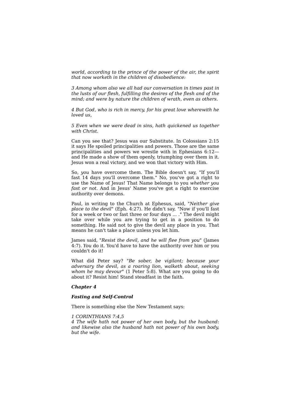*world, according to the prince of the power of the air, the spirit that now worketh in the children of disobedience:*

*3 Among whom also we all had our conversation in times past in the lusts of our flesh, fulfilling the desires of the flesh and of the mind; and were by nature the children of wrath, even as others.*

*4 But God, who is rich in mercy, for his great love wherewith he loved us,*

*5 Even when we were dead in sins, hath quickened us together with Christ.*

Can you see that? Jesus was our Substitute. In Colossians 2:15 it says He spoiled principalities and powers. Those are the same principalities and powers we wrestle with in Ephesians 6:12 and He made a show of them openly, triumphing over them in it. Jesus won a real victory, and we won that victory with Him.

So, *you* have overcome them. The Bible doesn't say, "If you'll fast 14 days you'll overcome them." No, you've got a right to use the Name of Jesus! That Name belongs to you *whether you fast or not.* And in Jesus' Name you've got a right to exercise authority over demons.

Paul, in writing to the Church at Ephesus, said, *"Neither give place to the devil"* (Eph. 4:27). He didn't say, "Now if you'll fast for a week or two or fast three or four days ... ." The devil might take over while you are trying to get in a position to do something. He said not to give the devil any place in you. That means he can't take a place unless you let him.

James said, *"Resist the devil, and he will flee from you"* (James 4:7). *You* do it. You'd have to have the authority over him or you couldn't do it!

What did Peter say? *"Be sober, be vigilant; because your adversary the devil, as a roaring lion, walketh about, seeking whom he may devour"* (1 Peter 5:8). What are you going to do about it? Resist him! Stand steadfast in the faith.

## *Chapter 4*

# *Fasting and Self-Control*

There is something else the New Testament says:

#### *1 CORINTHIANS 7:4,5*

*4 The wife hath not power of her own body, but the husband: and likewise also the husband hath not power of his own body, but the wife.*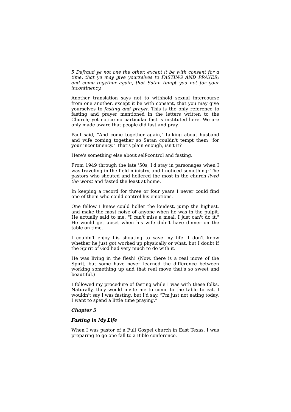*5 Defraud ye not one the other, except it be with consent for a time, that ye may give yourselves to FASTING AND PRAYER; and come together again, that Satan tempt you not for your incontinency.*

Another translation says not to withhold sexual intercourse from one another, except it be with consent, that you may give yourselves to *fasting and prayer.* This is the only reference to fasting and prayer mentioned in the letters written to the Church; yet notice no particular fast is instituted here. We are only made aware that people did fast and pray.

Paul said, "And come together again," talking about husband and wife coming together so Satan couldn't tempt them "for your incontinency." That's plain enough, isn't it?

Here's something else about self-control and fasting.

From 1949 through the late '50s, I'd stay in parsonages when I was traveling in the field ministry, and I noticed something: The pastors who shouted and hollered the most in the church *lived the worst* and fasted the least at home.

In keeping a record for three or four years I never could find one of them who could control his emotions.

One fellow I knew could holler the loudest, jump the highest, and make the most noise of anyone when he was in the pulpit. He actually said to me, "I can't miss a meal. I just can't do it." He would get upset when his wife didn't have dinner on the table on time.

I couldn't enjoy his shouting to save my life. I don't know whether he just got worked up physically or what, but I doubt if the Spirit of God had very much to do with it.

He was living in the flesh! (Now, there is a real move of the Spirit, but some have never learned the difference between working something up and that real move that's so sweet and beautiful.)

I followed my procedure of fasting while I was with these folks. Naturally, they would invite me to come to the table to eat. I wouldn't say I was fasting, but I'd say, "I'm just not eating today. I want to spend a little time praying."

## *Chapter 5*

# *Fasting in My Life*

When I was pastor of a Full Gospel church in East Texas, I was preparing to go one fall to a Bible conference.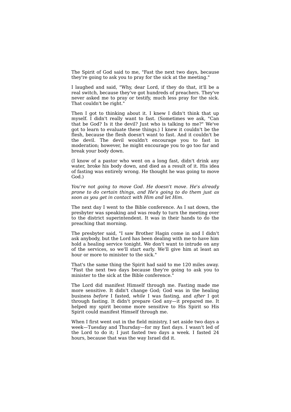The Spirit of God said to me, "Fast the next two days, because they're going to ask you to pray for the sick at the meeting."

I laughed and said, "Why, dear Lord, if they do that, it'll be a real switch, because they've got hundreds of preachers. They've never asked me to pray or testify, much less pray for the sick. That couldn't be right."

Then I got to thinking about it. I knew I didn't think that up myself. I didn't really want to fast. (Sometimes we ask, "Can that be God? Is it the devil? Just who is talking to me?" We've got to learn to evaluate these things.) I knew it couldn't be the flesh, because the flesh doesn't want to fast. And it couldn't be the devil. The devil wouldn't encourage you to fast in moderation; however, he might encourage you to go too far and break your body down.

(I know of a pastor who went on a long fast, didn't drink any water, broke his body down, and died as a result of it. His idea of fasting was entirely wrong. He thought he was going to move God.)

*You're not going to move God. He doesn't move. He's already prone to do certain things, and He's going to do them just as soon as you get in contact with Him and let Him.*

The next day I went to the Bible conference. As I sat down, the presbyter was speaking and was ready to turn the meeting over to the district superintendent. It was in their hands to do the preaching that morning.

The presbyter said, "I saw Brother Hagin come in and I didn't ask anybody, but the Lord has been dealing with me to have him hold a healing service tonight. We don't want to intrude on any of the services, so we'll start early. We'll give him at least an hour or more to minister to the sick."

That's the same thing the Spirit had said to me 120 miles away. "Fast the next two days because they're going to ask you to minister to the sick at the Bible conference."

The Lord did manifest Himself through me. Fasting made me more sensitive. It didn't change God; God was in the healing business *before* I fasted, *while* I was fasting, and *after* I got through fasting. It didn't prepare God any—it prepared me. It helped my spirit become more sensitive to His Spirit so His Spirit could manifest Himself through me.

When I first went out in the field ministry, I set aside two days a week—Tuesday and Thursday—for my fast days. I wasn't led of the Lord to do it; I just fasted two days a week. I fasted 24 hours, because that was the way Israel did it.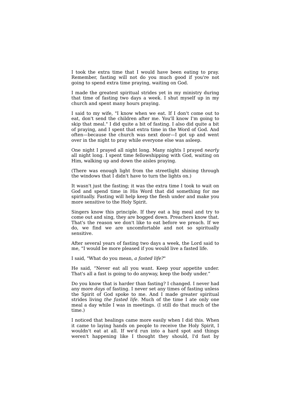I took the extra time that I would have been eating to pray. Remember, fasting will not do you much good if you're not going to spend extra time praying, waiting on God.

I made the greatest spiritual strides yet in my ministry during that time of fasting two days a week. I shut myself up in my church and spent many hours praying.

I said to my wife, "I know when we eat. If I don't come out to eat, don't send the children after me. You'll know I'm going to skip that meal." I did quite a bit of fasting. I also did quite a bit of praying, and I spent that extra time in the Word of God. And often—because the church was next door—I got up and went over in the night to pray while everyone else was asleep.

One night I prayed all night long. Many nights I prayed *nearly* all night long. I spent time fellowshipping with God, waiting on Him, walking up and down the aisles praying.

(There was enough light from the streetlight shining through the windows that I didn't have to turn the lights on.)

It wasn't just the fasting; it was the extra time I took to wait on God and spend time in His Word that did something for me spiritually. Fasting will help keep the flesh under and make you more sensitive to the Holy Spirit.

Singers know this principle. If they eat a big meal and try to come out and sing, they are bogged down. Preachers know that. That's the reason we don't like to eat before we preach. If we do, we find we are uncomfortable and not so spiritually sensitive.

After several years of fasting two days a week, the Lord said to me, "I would be more pleased if you would live a fasted life.

I said, "What do you mean, *a fasted life?"*

He said, "Never eat all you want. Keep your appetite under. That's all a fast is going to do anyway, keep the body under."

Do you know that is harder than fasting? I changed. I never had any more *days* of fasting. I never set any times of fasting unless the Spirit of God spoke to me. And I made greater spiritual strides living *the fasted life.* Much of the time I ate only one meal a day while I was in meetings. (I still do that much of the time.)

I noticed that healings came more easily when I did this. When it came to laying hands on people to receive the Holy Spirit, I wouldn't eat at all. If we'd run into a hard spot and things weren't happening like I thought they should, I'd fast by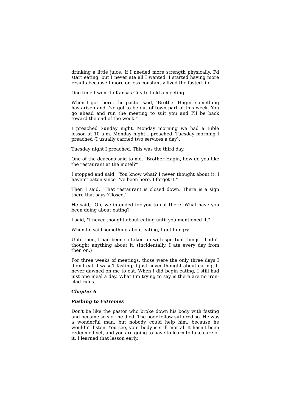drinking a little juice. If I needed more strength physically, I'd start eating, but I never ate all I wanted. I started having more results because I more or less constantly lived the fasted life.

One time I went to Kansas City to hold a meeting.

When I got there, the pastor said, "Brother Hagin, something has arisen and I've got to be out of town part of this week. You go ahead and run the meeting to suit you and I'll be back toward the end of the week."

I preached Sunday night. Monday morning we had a Bible lesson at 10 a.m. Monday night I preached. Tuesday morning I preached (I usually carried two services a day).

Tuesday night I preached. This was the third day.

One of the deacons said to me, "Brother Hagin, how do you like the restaurant at the motel?"

I stopped and said, "You know what? I never thought about it. I haven't eaten since I've been here. I forgot it."

Then I said, "That restaurant is closed down. There is a sign there that says 'Closed.'"

He said, "Oh, we intended for you to eat there. What have you been doing about eating?"

I said, "I never thought about eating until you mentioned it."

When he said something about eating, I got hungry.

Until then, I had been so taken up with spiritual things I hadn't thought anything about it. (Incidentally, I ate every day from then on.)

For three weeks of meetings, those were the only three days I didn't eat. I wasn't fasting; I just never thought about eating. It never dawned on me to eat. When I did begin eating, I still had just one meal a day. What I'm trying to say is there are no ironclad rules.

# *Chapter 6*

## *Pushing to Extremes*

Don't be like the pastor who broke down his body with fasting and became so sick he died. The poor fellow suffered so. He was a wonderful man, but nobody could help him, because he wouldn't listen. You see, your body is still mortal. It hasn't been redeemed yet, and you are going to have to learn to take care of it. I learned that lesson early.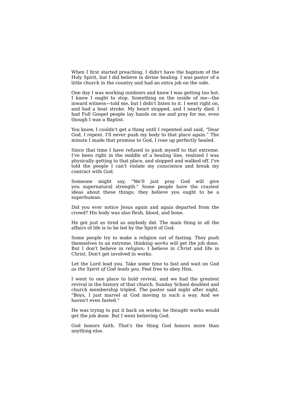When I first started preaching, I didn't have the baptism of the Holy Spirit, but I did believe in divine healing. I was pastor of a little church in the country and had an extra job on the side.

One day I was working outdoors and knew I was getting too hot. I knew I ought to stop. Something on the inside of me—the inward witness—told me, but I didn't listen to it. I went right on, and had a heat stroke. My heart stopped, and I nearly died. I had Full Gospel people lay hands on me and pray for me, even though I was a Baptist.

You know, I couldn't get a thing until I repented and said, "Dear God, I repent. I'll never push my body to that place again." The minute I made that promise to God, I rose up perfectly healed.

Since that time I have refused to push myself to that extreme. I've been right in the middle of a healing line, realized I was physically getting to that place, and stopped and walked off. I've told the people I can't violate my conscience and break my contract with God.

Someone might say, "We'll just pray God will give you supernatural strength." Some people have the craziest ideas about these things; they believe you ought to be a superhuman.

Did you ever notice Jesus again and again departed from the crowd? His body was also flesh, blood, and bone.

He got just as tired as anybody did. The main thing in all the affairs of life is to be led by the Spirit of God.

Some people try to make a religion out of fasting. They push themselves to an extreme, thinking *works* will get the job done. But I don't believe in *religion;* I believe in *Christ* and life in Christ. Don't get involved in works.

Let the Lord lead you. Take some time to fast and wait on God *as the Spirit of God leads you.* Feel free to obey Him.

I went to one place to hold revival, and we had the greatest revival in the history of that church. Sunday School doubled and church membership tripled. The pastor said night after night, "Boys, I just marvel at God moving in such a way. And we haven't even fasted."

He was trying to put it back on works; he thought works would get the job done. But I went believing God.

God honors faith. That's the thing God honors more than anything else.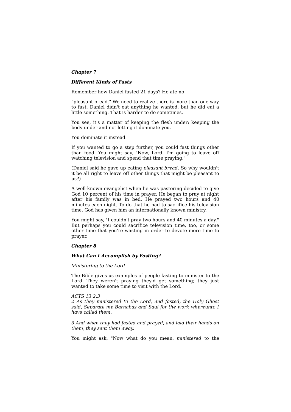# *Chapter 7*

## *Different Kinds of Fasts*

Remember how Daniel fasted 21 days? He ate no

"pleasant bread." We need to realize there is more than one way to fast. Daniel didn't eat anything he wanted, but he did eat a little something. That is harder to do sometimes.

You see, it's a matter of keeping the flesh under; keeping the body under and not letting it dominate you.

You dominate it instead.

If you wanted to go a step further, you could fast things other than food. You might say, "Now, Lord, I'm going to leave off watching television and spend that time praying."

(Daniel said he gave up eating *pleasant bread.* So why wouldn't it be all right to leave off other things that might be pleasant to us?)

A well-known evangelist when he was pastoring decided to give God 10 percent of his time in prayer. He began to pray at night after his family was in bed. He prayed two hours and 40 minutes each night. To do that he had to sacrifice his television time. God has given him an internationally known ministry.

You might say, "I couldn't pray two hours and 40 minutes a day." But perhaps you could sacrifice television time, too, or some other time that you're wasting in order to devote more time to prayer.

# *Chapter 8*

# *What Can I Accomplish by Fasting?*

# *Ministering to the Lord*

The Bible gives us examples of people fasting to minister to the Lord. They weren't praying they'd get something; they just wanted to take some time to visit with the Lord.

## *ACTS 13:2,3*

*2 As they ministered to the Lord, and fasted, the Holy Ghost said, Separate me Barnabas and Saul for the work whereunto I have called them.*

*3 And when they had fasted and prayed, and laid their hands on them, they sent them away.*

You might ask, "Now what do you mean, *ministered* to the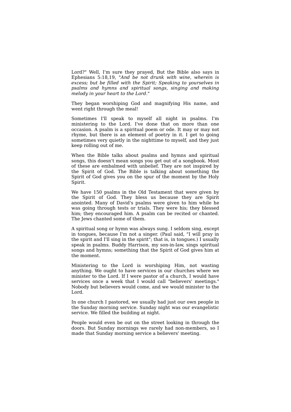Lord?" Well, I'm sure they prayed, But the Bible also says in Ephesians 5:18,19, *"And be not drunk with wine, wherein is excess; but be filled with the Spirit; Speaking to yourselves in psalms and hymns and spiritual songs, singing and making melody in your heart to the Lord."*

They began worshiping God and magnifying His name, and went right through the meal!

Sometimes I'll speak to myself all night in psalms. I'm ministering to the Lord. I've done that on more than one occasion. A psalm is a spiritual poem or ode. It may or may not rhyme, but there is an element of poetry in it. I get to going sometimes very quietly in the nighttime to myself, and they just keep rolling out of me.

When the Bible talks about psalms and hymns and spiritual songs, this doesn't mean songs you get out of a songbook. Most of these are embalmed with unbelief. They are not inspired by the Spirit of God. The Bible is talking about something the Spirit of God gives you on the spur of the moment by the Holy Spirit.

We have 150 psalms in the Old Testament that were given by the Spirit of God. They bless us because they are Spirit anointed. Many of David's psalms were given to him while he was going through tests or trials. They were his; they blessed him; they encouraged him. A psalm can be recited or chanted. The Jews chanted some of them.

A spiritual song or hymn was always sung. I seldom sing, except in tongues, because I'm not a singer. (Paul said, "I will pray in the spirit and I'll sing in the spirit"; that is, in tongues.) I usually speak in psalms. Buddy Harrison, my son-in-law, sings spiritual songs and hymns; something that the Spirit of God gives him at the moment.

Ministering to the Lord is worshiping Him, not wasting anything. We ought to have services in our churches where we minister to the Lord. If I were pastor of a church, I would have services once a week that I would call "believers' meetings." Nobody but believers would come, and we would minister to the Lord.

In one church I pastored, we usually had just our own people in the Sunday morning service. Sunday night was our evangelistic service. We filled the building at night.

People would even be out on the street looking in through the doors. But Sunday mornings we rarely had non-members, so I made that Sunday morning service a believers' meeting.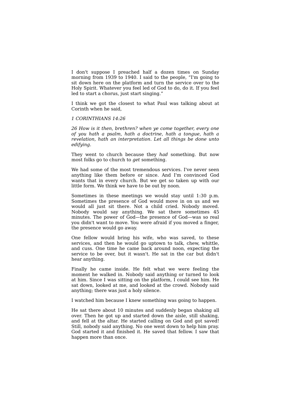I don't suppose I preached half a dozen times on Sunday morning from 1939 to 1940. I said to the people, "I'm going to sit down here on the platform and turn the service over to the Holy Spirit. Whatever you feel led of God to do, do it. If you feel led to start a chorus, just start singing."

I think we got the closest to what Paul was talking about at Corinth when he said,

# *1 CORINTHIANS 14:26*

*26 How is it then, brethren? when ye come together, every one of you hath a psalm, hath a doctrine, hath a tongue, hath a revelation, hath an interpretation. Let all things be done unto edifying.*

They went to church because they *had* something. But now most folks go to church to *get* something.

We had some of the most tremendous services. I've never seen anything like them before or since. And I'm convinced God wants that in every church. But we get so taken up with our little form. We think we have to be out by noon.

Sometimes in these meetings we would stay until 1:30 p.m. Sometimes the presence of God would move in on us and we would all just sit there. Not a child cried. Nobody moved. Nobody would say anything. We sat there sometimes 45 minutes. The power of God—the presence of God—was so real you didn't want to move. You were afraid if you moved a finger, the presence would go away.

One fellow would bring his wife, who was saved, to these services, and then he would go uptown to talk, chew, whittle, and cuss. One time he came back around noon, expecting the service to be over, but it wasn't. He sat in the car but didn't hear anything.

Finally he came inside. He felt what we were feeling the moment he walked in. Nobody said anything or turned to look at him. Since I was sitting on the platform, I could see him. He sat down, looked at me, and looked at the crowd. Nobody said anything; there was just a holy silence.

I watched him because I knew something was going to happen.

He sat there about 10 minutes and suddenly began shaking all over. Then he got up and started down the aisle, still shaking, and fell at the altar. He started calling on God and got saved! Still, nobody said anything. No one went down to help him pray. God started it and finished it. He saved that fellow. I saw that happen more than once.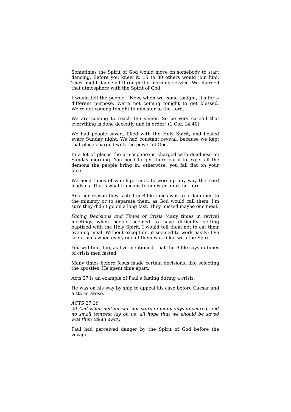Sometimes the Spirit of God would move on somebody to start dancing. Before you knew it, 15 to 30 others would join him. They might dance all through the morning service. We charged that atmosphere with the Spirit of God.

I would tell the people, "Now, when we come tonight, it's for a different purpose. We're not coming tonight to get blessed. We're not coming tonight to minister to the Lord.

We are coming to reach the sinner. So be very careful that everything is done decently and in order" (1 Cor. 14:40).

We had people saved, filled with the Holy Spirit, and healed every Sunday night. We had constant revival, because we kept that place charged with the power of God.

In a lot of places the atmosphere is charged with deadness on Sunday morning. You need to get there early to expel all the demons the people bring in, otherwise, you fall flat on your face.

We need times of worship, times to worship any way the Lord leads us. That's what it means to minister unto the Lord.

Another reason they fasted in Bible times was to ordain men to the ministry or to separate them, as God would call them. I'm sure they didn't go on a long fast. They missed maybe one meal.

*Facing Decisions and Times of Crisis* Many times in revival meetings when people seemed to have difficulty getting baptized with the Holy Spirit, I would tell them not to eat their evening meal. Without exception, it seemed to work easily; I've seen times when every one of them was filled with the Spirit.

You will find, too, as I've mentioned, that the Bible says in times of crisis men fasted.

Many times before Jesus made certain decisions, like selecting the apostles, He spent time apart.

Acts 27 is an example of Paul's fasting during a crisis.

He was on his way by ship to appeal his case before Caesar and a storm arose.

## *ACTS 27:20*

*20 And when neither sun nor stars in many days appeared, and no small tempest lay on us, all hope that we should be saved was then taken away.*

Paul had perceived danger by the Spirit of God before the voyage.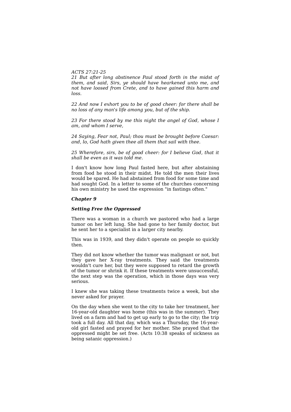# *ACTS 27:21-25*

*21 But after long abstinence Paul stood forth in the midst of them, and said, Sirs, ye should have hearkened unto me, and not have loosed from Crete, and to have gained this harm and loss.*

*22 And now I exhort you to be of good cheer: for there shall be no loss of any man's life among you, but of the ship.*

*23 For there stood by me this night the angel of God, whose I am, and whom I serve,*

*24 Saying, Fear not, Paul; thou must be brought before Caesar: and, lo, God hath given thee all them that sail with thee.*

*25 Wherefore, sirs, be of good cheer: for I believe God, that it shall be even as it was told me.*

I don't know how long Paul fasted here, but after abstaining from food he stood in their midst. He told the men their lives would be spared. He had abstained from food for some time and had sought God. In a letter to some of the churches concerning his own ministry he used the expression "in fastings often."

## *Chapter 9*

## *Setting Free the Oppressed*

There was a woman in a church we pastored who had a large tumor on her left lung. She had gone to her family doctor, but he sent her to a specialist in a larger city nearby.

This was in 1939, and they didn't operate on people so quickly then.

They did not know whether the tumor was malignant or not, but they gave her X-ray treatments. They said the treatments wouldn't cure her, but they were supposed to retard the growth of the tumor or shrink it. If these treatments were unsuccessful, the next step was the operation, which in those days was very serious.

I knew she was taking these treatments twice a week, but she never asked for prayer.

On the day when she went to the city to take her treatment, her 16-year-old daughter was home (this was in the summer). They lived on a farm and had to get up early to go to the city; the trip took a full day. All that day, which was a Thursday, the 16-yearold girl fasted and prayed for her mother. She prayed that the oppressed might be set free. (Acts 10:38 speaks of sickness as being satanic oppression.)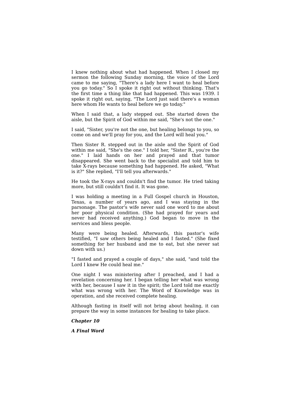I knew nothing about what had happened. When I closed my sermon the following Sunday morning, the voice of the Lord came to me saying, "There's a lady here I want to heal before you go today." So I spoke it right out without thinking. That's the first time a thing like that had happened. This was 1939. I spoke it right out, saying, "The Lord just said there's a woman here whom He wants to heal before we go today."

When I said that, a lady stepped out. She started down the aisle, but the Spirit of God within me said, "She's not the one."

I said, "Sister, you're not the one, but healing belongs to you, so come on and we'll pray for you, and the Lord will heal you."

Then Sister R. stepped out in the aisle and the Spirit of God within me said, "She's the one." I told her, "Sister R., you're the one." I laid hands on her and prayed and that tumor disappeared. She went back to the specialist and told him to take X-rays because something had happened. He asked, "What is it?" She replied, "I'll tell you afterwards."

He took the X-rays and couldn't find the tumor. He tried taking more, but still couldn't find it. It was gone.

I was holding a meeting in a Full Gospel church in Houston, Texas, a number of years ago, and I was staying in the parsonage. The pastor's wife never said one word to me about her poor physical condition. (She had prayed for years and never had received anything.) God began to move in the services and bless people.

Many were being healed. Afterwards, this pastor's wife testified, "I saw others being healed and I fasted." (She fixed something for her husband and me to eat, but she never sat down with us.)

"I fasted and prayed a couple of days," she said, "and told the Lord I knew He could heal me."

One night I was ministering after I preached, and I had a revelation concerning her. I began telling her what was wrong with her, because I saw it in the spirit; the Lord told me exactly what was wrong with her. The Word of Knowledge was in operation, and she received complete healing.

Although fasting in itself will not bring about healing, it can prepare the way in some instances for healing to take place.

*Chapter 10*

*A Final Word*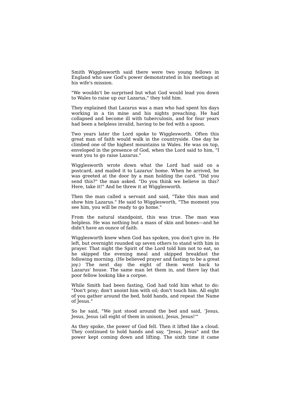Smith Wigglesworth said there were two young fellows in England who saw God's power demonstrated in his meetings at his wife's mission.

"We wouldn't be surprised but what God would lead you down to Wales to raise up our Lazarus," they told him.

They explained that Lazarus was a man who had spent his days working in a tin mine and his nights preaching. He had collapsed and become ill with tuberculosis, and for four years had been a helpless invalid, having to be fed with a spoon.

Two years later the Lord spoke to Wigglesworth. Often this great man of faith would walk in the countryside. One day he climbed one of the highest mountains in Wales. He was on top, enveloped in the presence of God, when the Lord said to him, "I want you to go raise Lazarus."

Wigglesworth wrote down what the Lord had said on a postcard, and mailed it to Lazarus' home. When he arrived, he was greeted at the door by a man holding the card. "Did you send this?" the man asked. "Do you think we believe in this? Here, take it!" And he threw it at Wigglesworth.

Then the man called a servant and said, "Take this man and show him Lazarus." He said to Wigglesworth, "The moment you see him, you will be ready to go home."

From the natural standpoint, this was true. The man was helpless. He was nothing but a mass of skin and bones—and he didn't have an ounce of faith.

Wigglesworth knew when God has spoken, you don't give in. He left, but overnight rounded up seven others to stand with him in prayer. That night the Spirit of the Lord told him not to eat, so he skipped the evening meal and skipped breakfast the following morning. (He believed prayer and fasting to be a great joy.) The next day the eight of them went back to Lazarus' house. The same man let them in, and there lay that poor fellow looking like a corpse.

While Smith had been fasting, God had told him what to do: "Don't pray; don't anoint him with oil; don't touch him. All eight of you gather around the bed, hold hands, and repeat the Name of Jesus."

So he said, "We just stood around the bed and said, 'Jesus, Jesus, Jesus (all eight of them in unison), Jesus, Jesus!'"

As they spoke, the power of God fell. Then it lifted like a cloud. They continued to hold hands and say, "Jesus, Jesus" and the power kept coming down and lifting. The sixth time it came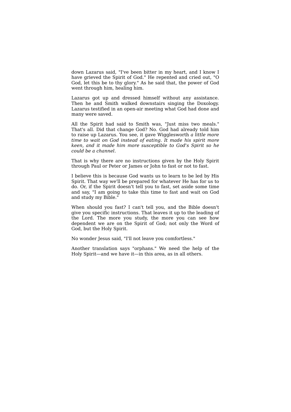down Lazarus said, "I've been bitter in my heart, and I know I have grieved the Spirit of God." He repented and cried out, "O God, let this be to thy glory." As he said that, the power of God went through him, healing him.

Lazarus got up and dressed himself without any assistance. Then he and Smith walked downstairs singing the Doxology. Lazarus testified in an open-air meeting what God had done and many were saved.

All the Spirit had said to Smith was, "Just miss two meals." That's all. Did that change God? No. God had already told him to raise up Lazarus. You see, it gave Wigglesworth *a little more time to wait on God instead of eating. It made his spirit more keen, and it made him more susceptible to God's Spirit so he could be a channel.*

That is why there are no instructions given by the Holy Spirit through Paul or Peter or James or John to fast or not to fast.

I believe this is because God wants us to learn to be led by His Spirit. That way we'll be prepared for whatever He has for us to do. Or, if the Spirit doesn't tell you to fast, set aside some time and say, "I am going to take this time to fast and wait on God and study my Bible."

When should you fast? I can't tell you, and the Bible doesn't give you specific instructions. That leaves it up to the leading of the Lord. The more you study, the more you can see how dependent we are on the Spirit of God; not only the Word of God, but the Holy Spirit.

No wonder Jesus said, "I'll not leave you comfortless."

Another translation says "orphans." We need the help of the Holy Spirit—and we have it—in this area, as in all others.